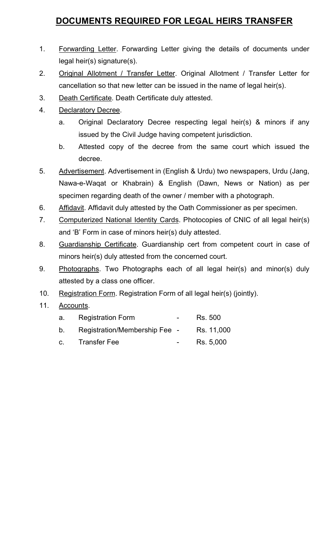## DOCUMENTS REQUIRED FOR LEGAL HEIRS TRANSFER

- 1. Forwarding Letter. Forwarding Letter giving the details of documents under legal heir(s) signature(s).
- 2. Original Allotment / Transfer Letter. Original Allotment / Transfer Letter for cancellation so that new letter can be issued in the name of legal heir(s).
- 3. Death Certificate. Death Certificate duly attested.
- 4. Declaratory Decree.
	- a. Original Declaratory Decree respecting legal heir(s) & minors if any issued by the Civil Judge having competent jurisdiction.
	- b. Attested copy of the decree from the same court which issued the decree.
- 5. Advertisement. Advertisement in (English & Urdu) two newspapers, Urdu (Jang, Nawa-e-Waqat or Khabrain) & English (Dawn, News or Nation) as per specimen regarding death of the owner / member with a photograph.
- 6. Affidavit. Affidavit duly attested by the Oath Commissioner as per specimen.
- 7. Computerized National Identity Cards. Photocopies of CNIC of all legal heir(s) and 'B' Form in case of minors heir(s) duly attested.
- 8. Guardianship Certificate. Guardianship cert from competent court in case of minors heir(s) duly attested from the concerned court.
- 9. Photographs. Two Photographs each of all legal heir(s) and minor(s) duly attested by a class one officer.
- 10. Registration Form. Registration Form of all legal heir(s) (jointly).
- 11. Accounts.

| a.      | <b>Registration Form</b>      | $\sim$ $\sim$    | Rs. 500    |
|---------|-------------------------------|------------------|------------|
| b.      | Registration/Membership Fee - |                  | Rs. 11,000 |
| $C_{-}$ | <b>Transfer Fee</b>           | $\sim$ 100 $\mu$ | Rs. 5,000  |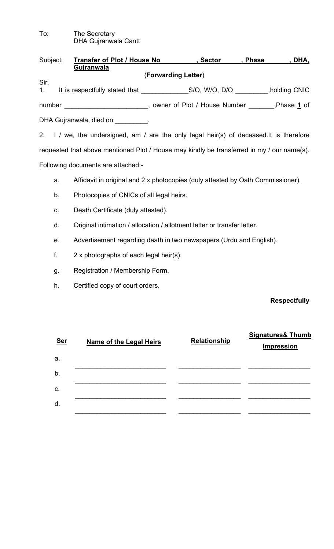To: The Secretary DHA Gujranwala Cantt

| Subject:        | Transfer of Plot / House No    |                     | , Sector                     | <b>Phase</b> | <u>DHA,</u>       |
|-----------------|--------------------------------|---------------------|------------------------------|--------------|-------------------|
|                 | Gujranwala                     |                     |                              |              |                   |
|                 |                                | (Forwarding Letter) |                              |              |                   |
| Sir,<br>$1_{-}$ | It is respectfully stated that |                     | S/O, W/O, D/O                |              | holding CNIC,     |
| number          |                                |                     | owner of Plot / House Number |              | Phase <u>1</u> of |
|                 | DHA Gujranwala, died on Theory |                     |                              |              |                   |
|                 |                                |                     |                              |              |                   |

2. I / we, the undersigned, am / are the only legal heir(s) of deceased.It is therefore requested that above mentioned Plot / House may kindly be transferred in my / our name(s). Following documents are attached:-

a. Affidavit in original and 2 x photocopies (duly attested by Oath Commissioner).

- b. Photocopies of CNICs of all legal heirs.
- c. Death Certificate (duly attested).
- d. Original intimation / allocation / allotment letter or transfer letter.
- e. Advertisement regarding death in two newspapers (Urdu and English).
- f. 2 x photographs of each legal heir(s).
- g. Registration / Membership Form.
- h. Certified copy of court orders.

## **Respectfully**

| <b>Ser</b> | <b>Name of the Legal Heirs</b> | <b>Relationship</b> | <b>Signatures&amp; Thumb</b><br><b>Impression</b> |
|------------|--------------------------------|---------------------|---------------------------------------------------|
| a.         |                                |                     |                                                   |
| b.         |                                |                     |                                                   |
| C.         |                                |                     |                                                   |
| d.         |                                |                     |                                                   |
|            |                                |                     |                                                   |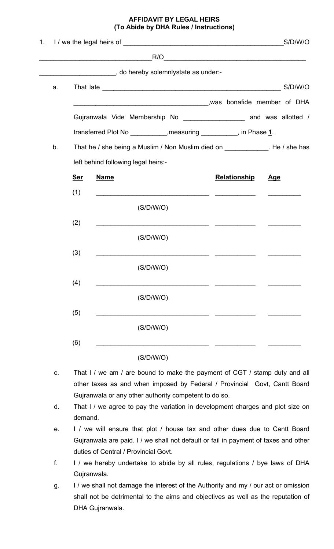## **AFFIDAVIT BY LEGAL HEIRS** (To Abide by DHA Rules / Instructions)

|    |            |                                                                              |                     | S/D/W/O    |
|----|------------|------------------------------------------------------------------------------|---------------------|------------|
|    |            | R/O                                                                          |                     |            |
|    |            |                                                                              |                     |            |
| a. |            |                                                                              |                     |            |
|    |            |                                                                              |                     |            |
|    |            | Gujranwala Vide Membership No ___________________ and was allotted /         |                     |            |
|    |            | transferred Plot No ___________,measuring __________, in Phase 1.            |                     |            |
| b. |            | That he / she being a Muslim / Non Muslim died on ____________. He / she has |                     |            |
|    |            | left behind following legal heirs:-                                          |                     |            |
|    | <u>Ser</u> | <b>Name</b>                                                                  | <b>Relationship</b> | <u>Age</u> |
|    | (1)        |                                                                              |                     |            |
|    |            | (S/D/W/O)                                                                    |                     |            |
|    | (2)        |                                                                              |                     |            |
|    |            | (S/D/W/O)                                                                    |                     |            |
|    | (3)        | <u> 1980 - Jan Barbarat, martin da shekara 1980 - A</u>                      |                     |            |
|    |            | (S/D/W/O)                                                                    |                     |            |
|    | (4)        |                                                                              |                     |            |
|    |            | (S/D/W/O)                                                                    |                     |            |
|    | (5)        |                                                                              |                     |            |
|    |            | (S/D/W/O)                                                                    |                     |            |
|    | (6)        |                                                                              |                     |            |
|    |            | (S/D/W/O)                                                                    |                     |            |

- c. That I / we am / are bound to make the payment of CGT / stamp duty and all other taxes as and when imposed by Federal / Provincial Govt, Cantt Board Gujranwala or any other authority competent to do so.
- d. That I / we agree to pay the variation in development charges and plot size on demand.
- e. I / we will ensure that plot / house tax and other dues due to Cantt Board Gujranwala are paid. I / we shall not default or fail in payment of taxes and other duties of Central / Provincial Govt.
- f. I / we hereby undertake to abide by all rules, regulations / bye laws of DHA Gujranwala.
- g. I / we shall not damage the interest of the Authority and my / our act or omission shall not be detrimental to the aims and objectives as well as the reputation of DHA Gujranwala.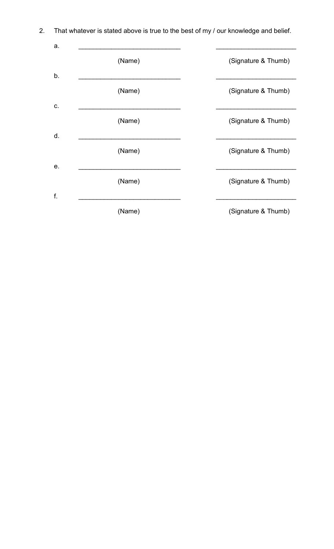| a. |        |                     |
|----|--------|---------------------|
|    | (Name) | (Signature & Thumb) |
| b. |        |                     |
|    | (Name) | (Signature & Thumb) |
| C. |        |                     |
|    | (Name) | (Signature & Thumb) |
| d. |        |                     |
|    | (Name) | (Signature & Thumb) |
| е. |        |                     |
|    | (Name) | (Signature & Thumb) |
| f. |        |                     |
|    | (Name) | (Signature & Thumb) |

2. That whatever is stated above is true to the best of my / our knowledge and belief.